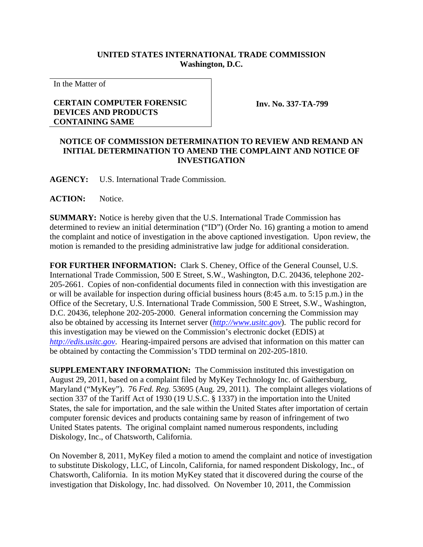## **UNITED STATES INTERNATIONAL TRADE COMMISSION Washington, D.C.**

In the Matter of

## **CERTAIN COMPUTER FORENSIC DEVICES AND PRODUCTS CONTAINING SAME**

**Inv. No. 337-TA-799**

## **NOTICE OF COMMISSION DETERMINATION TO REVIEW AND REMAND AN INITIAL DETERMINATION TO AMEND THE COMPLAINT AND NOTICE OF INVESTIGATION**

**AGENCY:** U.S. International Trade Commission.

**ACTION:** Notice.

**SUMMARY:** Notice is hereby given that the U.S. International Trade Commission has determined to review an initial determination ("ID") (Order No. 16) granting a motion to amend the complaint and notice of investigation in the above captioned investigation. Upon review, the motion is remanded to the presiding administrative law judge for additional consideration.

**FOR FURTHER INFORMATION:** Clark S. Cheney, Office of the General Counsel, U.S. International Trade Commission, 500 E Street, S.W., Washington, D.C. 20436, telephone 202- 205-2661. Copies of non-confidential documents filed in connection with this investigation are or will be available for inspection during official business hours (8:45 a.m. to 5:15 p.m.) in the Office of the Secretary, U.S. International Trade Commission, 500 E Street, S.W., Washington, D.C. 20436, telephone 202-205-2000. General information concerning the Commission may also be obtained by accessing its Internet server (*http://www.usitc.gov*). The public record for this investigation may be viewed on the Commission's electronic docket (EDIS) at *http://edis.usitc.gov*. Hearing-impaired persons are advised that information on this matter can be obtained by contacting the Commission's TDD terminal on 202-205-1810.

**SUPPLEMENTARY INFORMATION:** The Commission instituted this investigation on August 29, 2011, based on a complaint filed by MyKey Technology Inc. of Gaithersburg, Maryland ("MyKey"). 76 *Fed. Reg.* 53695 (Aug. 29, 2011). The complaint alleges violations of section 337 of the Tariff Act of 1930 (19 U.S.C. § 1337) in the importation into the United States, the sale for importation, and the sale within the United States after importation of certain computer forensic devices and products containing same by reason of infringement of two United States patents. The original complaint named numerous respondents, including Diskology, Inc., of Chatsworth, California.

On November 8, 2011, MyKey filed a motion to amend the complaint and notice of investigation to substitute Diskology, LLC, of Lincoln, California, for named respondent Diskology, Inc., of Chatsworth, California. In its motion MyKey stated that it discovered during the course of the investigation that Diskology, Inc. had dissolved. On November 10, 2011, the Commission